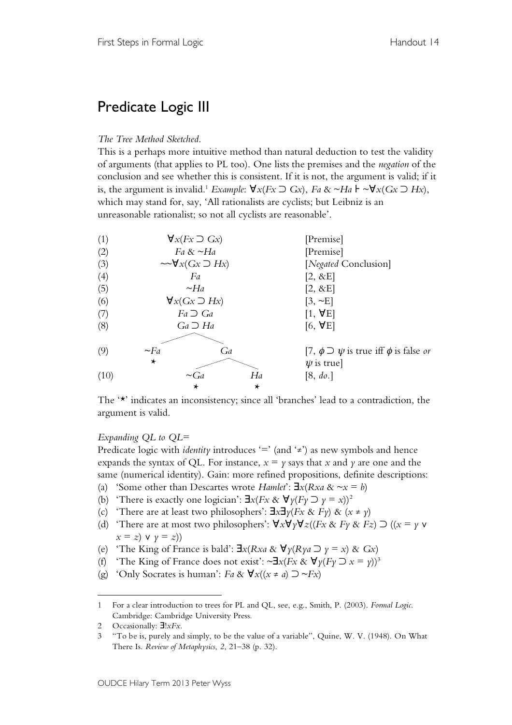# Predicate Logic III

## *The Tree Method Sketched*.

This is a perhaps more intuitive method than natural deduction to test the validity of arguments (that applies to PL too). One lists the premises and the *negation* of the conclusion and see whether this is consistent. If it is not, the argument is valid; if it is, the argument is invalid.<sup>1</sup> *Example*:  $\forall x (Fx ⊇ Gx)$ , *Fa* & ~*Ha*  $\vdash \neg \forall x (Gx ⊇ Hx)$ , which may stand for, say, 'All rationalists are cyclists; but Leibniz is an unreasonable rationalist; so not all cyclists are reasonable'.

| (1)  | $\forall x (Fx \supset Gx)$     |           |                                                        | [Premise]            |  |
|------|---------------------------------|-----------|--------------------------------------------------------|----------------------|--|
| (2)  | Fa & $\sim$ Ha                  |           |                                                        | [Premise]            |  |
| (3)  | $\sim \forall x(Gx \supset Hx)$ |           |                                                        | [Negated Conclusion] |  |
| (4)  | Fa                              |           |                                                        | $[2, \&E]$           |  |
| (5)  | $\sim$ Ha                       |           |                                                        | $[2, \&E]$           |  |
| (6)  | $\forall x(Gx \supset Hx)$      |           |                                                        | $[3, \sim E]$        |  |
| (7)  | $Fa \supset Ga$                 |           |                                                        | $[1, \forall E]$     |  |
| (8)  | $Ga \supset Ha$                 |           |                                                        | $[6, \forall E]$     |  |
|      |                                 |           |                                                        |                      |  |
| (9)  | $\neg Fa$<br>Ga                 |           | [7, $\phi \supset \psi$ is true iff $\phi$ is false or |                      |  |
|      | $\star$                         |           |                                                        | $\psi$ is true]      |  |
| (10) |                                 | $\sim$ Ga | Ha                                                     | [8, do.]             |  |
|      |                                 | *         | ∗                                                      |                      |  |
|      |                                 |           |                                                        |                      |  |

The '\*' indicates an inconsistency; since all 'branches' lead to a contradiction, the argument is valid.

## *Expanding QL to QL=*

Predicate logic with *identity* introduces  $\equiv$  (and  $\neq$ ) as new symbols and hence expands the syntax of QL. For instance,  $x = y$  says that *x* and *y* are one and the same (numerical identity). Gain: more refined propositions, definite descriptions:

- (a) 'Some other than Descartes wrote *Hamlet*': ∃*x*(*Rxa* & ~*x* = *b*)
- (b) 'There is exactly one logician':  $\exists x (Fx \& \forall y (Fy \supset y = x))^2$
- (c) 'There are at least two philosophers': ∃*x*∃*y*(*Fx* & *Fy*) & (*x* ≠ *y*)
- (d) 'There are at most two philosophers':  $\forall x \forall y \forall z ((Fx \& Fy \& Fz) \supset ((x = y \vee fz)) \wedge ((x = y \vee fz)) \vee ((x = y \vee fz)) \wedge ((x = y \vee fz)) \wedge ((x = y \vee fz)) \wedge ((x = y \vee fz)) \wedge ((x = y \vee fz)) \wedge ((x = y \vee fz)) \wedge ((x = y \vee fz)) \wedge ((x = y \vee fz)) \wedge ((x = y \vee fz)) \wedge ((x = y \vee fz)) \w$  $x = z$ )  $\vee$   $y = z$ )
- (e) 'The King of France is bald': ∃*x*(*Rxa* & ∀*y*(*Rya* ⊃ *y* = *x*) & *Gx*)
- (f) 'The King of France does not exist':  $\sim \exists x (Fx \& \forall y (Fy \supset x = y))^3$
- (g) 'Only Socrates is human': *Fa* & ∀*x*((*x* ≠ *a*) ⊃ ~*Fx*)

 $\overline{a}$ 

<sup>1</sup> For a clear introduction to trees for PL and QL, see, e.g., Smith, P. (2003). *Formal Logic*. Cambridge: Cambridge University Press.

<sup>2</sup> Occasionally: ∃!*xFx*.

<sup>3</sup> "To be is, purely and simply, to be the value of a variable", Quine, W. V. (1948). On What There Is. *Review of Metaphysics*, *2*, 21–38 (p. 32).